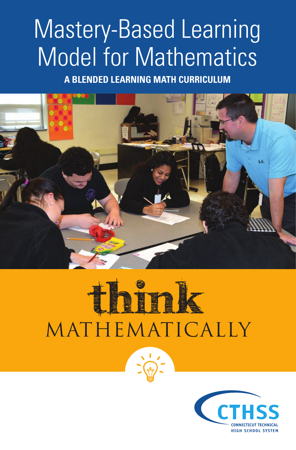# Mastery-Based Learning Model for Mathematics

**A BLENDED LEARNING MATH CURRICULUM**



# Ink Mathematically

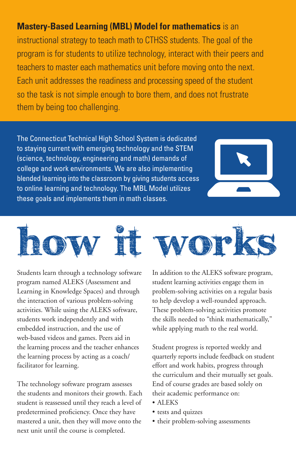### **Mastery-Based Learning (MBL) Model for mathematics** is an

instructional strategy to teach math to CTHSS students. The goal of the program is for students to utilize technology, interact with their peers and teachers to master each mathematics unit before moving onto the next. Each unit addresses the readiness and processing speed of the student so the task is not simple enough to bore them, and does not frustrate them by being too challenging.

The Connecticut Technical High School System is dedicated to staying current with emerging technology and the STEM (science, technology, engineering and math) demands of college and work environments. We are also implementing blended learning into the classroom by giving students access to online learning and technology. The MBL Model utilizes these goals and implements them in math classes.





Students learn through a technology software program named ALEKS (Assessment and Learning in Knowledge Spaces) and through the interaction of various problem-solving activities. While using the ALEKS software, students work independently and with embedded instruction, and the use of web-based videos and games. Peers aid in the learning process and the teacher enhances the learning process by acting as a coach/ facilitator for learning.

The technology software program assesses the students and monitors their growth. Each student is reassessed until they reach a level of predetermined proficiency. Once they have mastered a unit, then they will move onto the next unit until the course is completed.

In addition to the ALEKS software program, student learning activities engage them in problem-solving activities on a regular basis to help develop a well-rounded approach. These problem-solving activities promote the skills needed to "think mathematically," while applying math to the real world.

Student progress is reported weekly and quarterly reports include feedback on student effort and work habits, progress through the curriculum and their mutually set goals. End of course grades are based solely on their academic performance on:

- ALEKS
- tests and quizzes
- their problem-solving assessments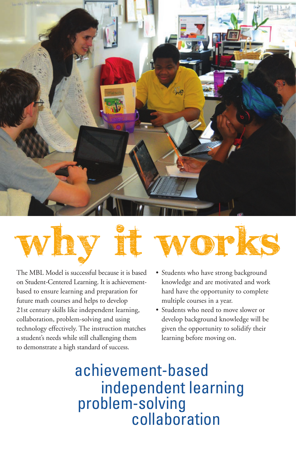



The MBL Model is successful because it is based on Student-Centered Learning. It is achievementbased to ensure learning and preparation for future math courses and helps to develop 21st century skills like independent learning, collaboration, problem-solving and using technology effectively. The instruction matches a student's needs while still challenging them to demonstrate a high standard of success.



- Students who have strong background knowledge and are motivated and work hard have the opportunity to complete multiple courses in a year.
- Students who need to move slower or develop background knowledge will be given the opportunity to solidify their learning before moving on.

achievement-based independent learning collaboration problem-solving